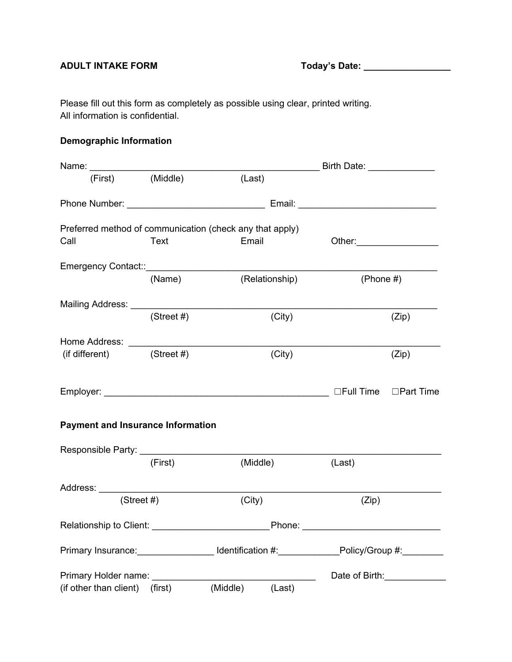## **ADULT INTAKE FORM Today's Date: \_\_\_\_\_\_\_\_\_\_\_\_\_\_\_\_\_**

Please fill out this form as completely as possible using clear, printed writing. All information is confidential.

## **Demographic Information**

| Name: ________________                   |               |                                                                                                                 |              |                     |
|------------------------------------------|---------------|-----------------------------------------------------------------------------------------------------------------|--------------|---------------------|
|                                          |               | (First) (Middle) (Last)                                                                                         |              |                     |
|                                          |               |                                                                                                                 |              |                     |
|                                          |               | Preferred method of communication (check any that apply)                                                        |              |                     |
| Call                                     | Text          | Email                                                                                                           |              |                     |
|                                          |               |                                                                                                                 |              |                     |
|                                          | (Name)        | (Relationship)                                                                                                  | (Phone $#$ ) |                     |
|                                          |               |                                                                                                                 |              |                     |
|                                          | $(Street \#)$ | (City)                                                                                                          |              | (Zip)               |
|                                          |               |                                                                                                                 |              |                     |
| $(if different)$ (Street #)              |               | (City)                                                                                                          |              | (Zip)               |
|                                          |               |                                                                                                                 |              |                     |
| <b>Payment and Insurance Information</b> |               |                                                                                                                 |              |                     |
|                                          |               |                                                                                                                 |              |                     |
|                                          | (First)       | (Middle)                                                                                                        | (Last)       |                     |
|                                          |               |                                                                                                                 |              |                     |
|                                          | (Street #)    | (City)                                                                                                          | (Zip)        |                     |
|                                          |               |                                                                                                                 |              |                     |
|                                          |               | Primary Insurance: ___________________Identification #:______________Policy/Group #:_________                   |              |                     |
|                                          |               | Primary Holder name: Note and the state of the state of the state of the state of the state of the state of the |              | Date of Birth: 1990 |
| (if other than client) (first)           |               | (Middle)<br>(Last)                                                                                              |              |                     |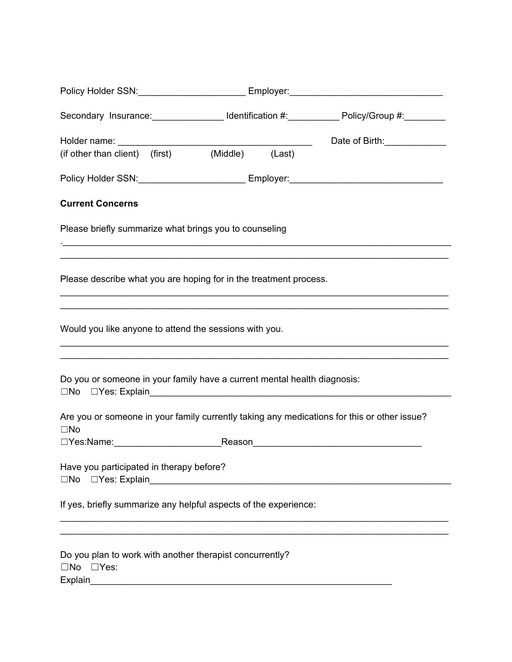| Policy Holder SSN: _________________________ Employer:__________________________                                                            |  |  |                                                                                  |  |
|---------------------------------------------------------------------------------------------------------------------------------------------|--|--|----------------------------------------------------------------------------------|--|
|                                                                                                                                             |  |  |                                                                                  |  |
|                                                                                                                                             |  |  | Date of Birth: <u>_____________</u>                                              |  |
| (if other than client) (first) (Middle) (Last)                                                                                              |  |  |                                                                                  |  |
|                                                                                                                                             |  |  | Policy Holder SSN: ________________________ Employer: __________________________ |  |
| <b>Current Concerns</b>                                                                                                                     |  |  |                                                                                  |  |
| Please briefly summarize what brings you to counseling<br>,我们也不能在这里的人,我们也不能在这里的人,我们也不能在这里的人,我们也不能在这里的人,我们也不能在这里的人,我们也不能在这里的人,我们也不能在这里的人,我们也 |  |  |                                                                                  |  |
| Please describe what you are hoping for in the treatment process.                                                                           |  |  | <u> 1989 - Johann Stoff, amerikansk politiker (d. 1989)</u>                      |  |
| Would you like anyone to attend the sessions with you.                                                                                      |  |  |                                                                                  |  |
| Do you or someone in your family have a current mental health diagnosis:                                                                    |  |  |                                                                                  |  |
| Are you or someone in your family currently taking any medications for this or other issue?<br>$\square$ No                                 |  |  |                                                                                  |  |
| Have you participated in therapy before?                                                                                                    |  |  |                                                                                  |  |
| If yes, briefly summarize any helpful aspects of the experience:                                                                            |  |  |                                                                                  |  |
| Do you plan to work with another therapist concurrently?<br>$\square$ No $\square$ Yes:<br>Explain                                          |  |  |                                                                                  |  |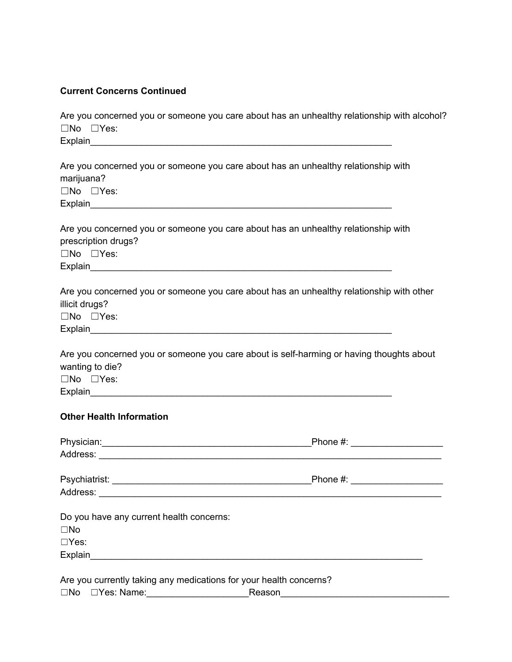## **Current Concerns Continued**

| Are you concerned you or someone you care about has an unhealthy relationship with alcohol?<br>$\square$ No $\square$ Yes:                 |
|--------------------------------------------------------------------------------------------------------------------------------------------|
|                                                                                                                                            |
|                                                                                                                                            |
|                                                                                                                                            |
| Are you concerned you or someone you care about has an unhealthy relationship with                                                         |
| marijuana?                                                                                                                                 |
| $\square$ No $\square$ Yes:                                                                                                                |
|                                                                                                                                            |
|                                                                                                                                            |
| Are you concerned you or someone you care about has an unhealthy relationship with<br>prescription drugs?                                  |
| $\square$ No $\square$ Yes:                                                                                                                |
|                                                                                                                                            |
|                                                                                                                                            |
| Are you concerned you or someone you care about has an unhealthy relationship with other<br>illicit drugs?<br>$\square$ No $\square$ Yes:  |
| Are you concerned you or someone you care about is self-harming or having thoughts about<br>wanting to die?<br>$\square$ No $\square$ Yes: |
| <b>Other Health Information</b>                                                                                                            |

|                                                                    | Phone #: _____________________ |
|--------------------------------------------------------------------|--------------------------------|
|                                                                    |                                |
|                                                                    | Phone #: _____________________ |
|                                                                    |                                |
| Do you have any current health concerns:                           |                                |
| $\square$ No                                                       |                                |
| $\Box$ Yes:                                                        |                                |
|                                                                    |                                |
|                                                                    |                                |
| Are you currently taking any medications for your health concerns? |                                |

|  | $\square$ No | □Yes: Name: | Reason |  |
|--|--------------|-------------|--------|--|
|--|--------------|-------------|--------|--|